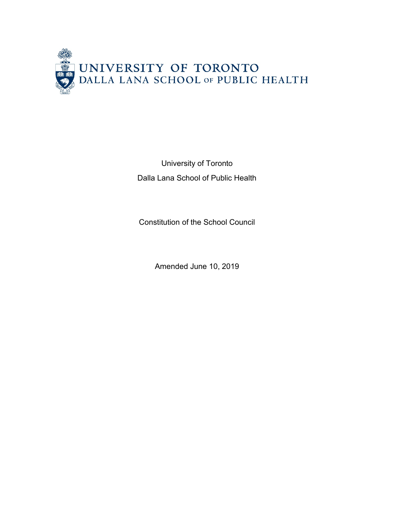

University of Toronto Dalla Lana School of Public Health

Constitution of the School Council

Amended June 10, 2019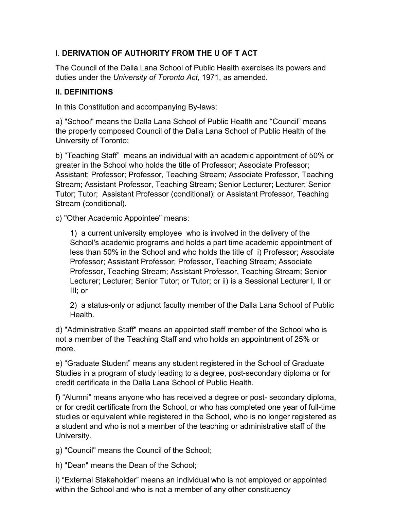# I. **DERIVATION OF AUTHORITY FROM THE U OF T ACT**

The Council of the Dalla Lana School of Public Health exercises its powers and duties under the *University of Toronto Act*, 1971, as amended.

# **II. DEFINITIONS**

In this Constitution and accompanying By-laws:

a) "School" means the Dalla Lana School of Public Health and "Council" means the properly composed Council of the Dalla Lana School of Public Health of the University of Toronto;

b) "Teaching Staff" means an individual with an academic appointment of 50% or greater in the School who holds the title of Professor; Associate Professor; Assistant; Professor; Professor, Teaching Stream; Associate Professor, Teaching Stream; Assistant Professor, Teaching Stream; Senior Lecturer; Lecturer; Senior Tutor; Tutor; Assistant Professor (conditional); or Assistant Professor, Teaching Stream (conditional).

c) "Other Academic Appointee" means:

1) a current university employee who is involved in the delivery of the School's academic programs and holds a part time academic appointment of less than 50% in the School and who holds the title of i) Professor; Associate Professor; Assistant Professor; Professor, Teaching Stream; Associate Professor, Teaching Stream; Assistant Professor, Teaching Stream; Senior Lecturer; Lecturer; Senior Tutor; or Tutor; or ii) is a Sessional Lecturer I, II or III; or

2) a status-only or adjunct faculty member of the Dalla Lana School of Public Health.

d) "Administrative Staff" means an appointed staff member of the School who is not a member of the Teaching Staff and who holds an appointment of 25% or more.

e) "Graduate Student" means any student registered in the School of Graduate Studies in a program of study leading to a degree, post-secondary diploma or for credit certificate in the Dalla Lana School of Public Health.

f) "Alumni" means anyone who has received a degree or post- secondary diploma, or for credit certificate from the School, or who has completed one year of full-time studies or equivalent while registered in the School, who is no longer registered as a student and who is not a member of the teaching or administrative staff of the University.

g) "Council" means the Council of the School;

h) "Dean" means the Dean of the School;

i) "External Stakeholder" means an individual who is not employed or appointed within the School and who is not a member of any other constituency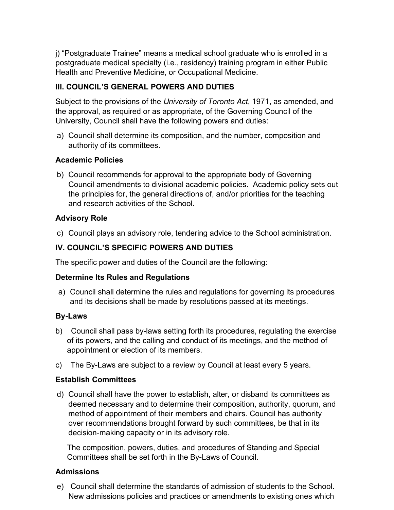j) "Postgraduate Trainee" means a medical school graduate who is enrolled in a postgraduate medical specialty (i.e., residency) training program in either Public Health and Preventive Medicine, or Occupational Medicine.

### **III. COUNCIL'S GENERAL POWERS AND DUTIES**

Subject to the provisions of the *University of Toronto Act*, 1971, as amended, and the approval, as required or as appropriate, of the Governing Council of the University, Council shall have the following powers and duties:

a) Council shall determine its composition, and the number, composition and authority of its committees.

### **Academic Policies**

b) Council recommends for approval to the appropriate body of Governing Council amendments to divisional academic policies. Academic policy sets out the principles for, the general directions of, and/or priorities for the teaching and research activities of the School.

### **Advisory Role**

c) Council plays an advisory role, tendering advice to the School administration.

## **IV. COUNCIL'S SPECIFIC POWERS AND DUTIES**

The specific power and duties of the Council are the following:

### **Determine Its Rules and Regulations**

a) Council shall determine the rules and regulations for governing its procedures and its decisions shall be made by resolutions passed at its meetings.

### **By-Laws**

- b) Council shall pass by-laws setting forth its procedures, regulating the exercise of its powers, and the calling and conduct of its meetings, and the method of appointment or election of its members.
- c) The By-Laws are subject to a review by Council at least every 5 years.

## **Establish Committees**

d) Council shall have the power to establish, alter, or disband its committees as deemed necessary and to determine their composition, authority, quorum, and method of appointment of their members and chairs. Council has authority over recommendations brought forward by such committees, be that in its decision-making capacity or in its advisory role.

The composition, powers, duties, and procedures of Standing and Special Committees shall be set forth in the By-Laws of Council.

### **Admissions**

e) Council shall determine the standards of admission of students to the School. New admissions policies and practices or amendments to existing ones which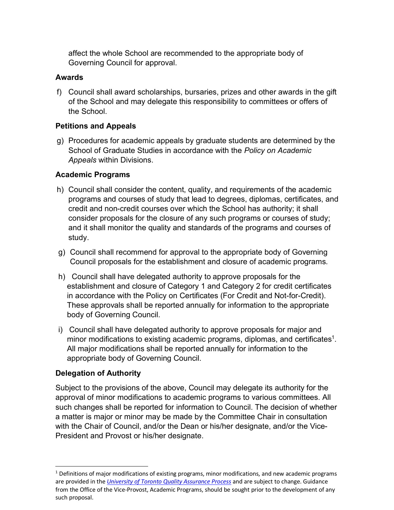affect the whole School are recommended to the appropriate body of Governing Council for approval.

#### **Awards**

f) Council shall award scholarships, bursaries, prizes and other awards in the gift of the School and may delegate this responsibility to committees or offers of the School.

### **Petitions and Appeals**

g) Procedures for academic appeals by graduate students are determined by the School of Graduate Studies in accordance with the *Policy on Academic Appeals* within Divisions.

### **Academic Programs**

- h) Council shall consider the content, quality, and requirements of the academic programs and courses of study that lead to degrees, diplomas, certificates, and credit and non-credit courses over which the School has authority; it shall consider proposals for the closure of any such programs or courses of study; and it shall monitor the quality and standards of the programs and courses of study.
- g) Council shall recommend for approval to the appropriate body of Governing Council proposals for the establishment and closure of academic programs.
- h) Council shall have delegated authority to approve proposals for the establishment and closure of Category 1 and Category 2 for credit certificates in accordance with the Policy on Certificates (For Credit and Not-for-Credit). These approvals shall be reported annually for information to the appropriate body of Governing Council.
- i) Council shall have delegated authority to approve proposals for major and minor modifications to existing academic programs, diplomas, and certificates<sup>1</sup>. All major modifications shall be reported annually for information to the appropriate body of Governing Council.

### **Delegation of Authority**

Subject to the provisions of the above, Council may delegate its authority for the approval of minor modifications to academic programs to various committees. All such changes shall be reported for information to Council. The decision of whether a matter is major or minor may be made by the Committee Chair in consultation with the Chair of Council, and/or the Dean or his/her designate, and/or the Vice-President and Provost or his/her designate.

 $<sup>1</sup>$  Definitions of major modifications of existing programs, minor modifications, and new academic programs</sup> are provided in the *University of Toronto Quality Assurance Process* and are subject to change. Guidance from the Office of the Vice-Provost, Academic Programs, should be sought prior to the development of any such proposal.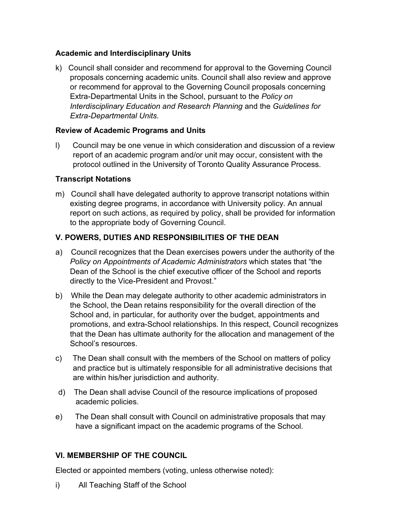## **Academic and Interdisciplinary Units**

k) Council shall consider and recommend for approval to the Governing Council proposals concerning academic units. Council shall also review and approve or recommend for approval to the Governing Council proposals concerning Extra-Departmental Units in the School, pursuant to the *Policy on Interdisciplinary Education and Research Planning* and the *Guidelines for Extra-Departmental Units*.

## **Review of Academic Programs and Units**

l) Council may be one venue in which consideration and discussion of a review report of an academic program and/or unit may occur, consistent with the protocol outlined in the University of Toronto Quality Assurance Process.

## **Transcript Notations**

m) Council shall have delegated authority to approve transcript notations within existing degree programs, in accordance with University policy. An annual report on such actions, as required by policy, shall be provided for information to the appropriate body of Governing Council.

# **V. POWERS, DUTIES AND RESPONSIBILITIES OF THE DEAN**

- a) Council recognizes that the Dean exercises powers under the authority of the *Policy on Appointments of Academic Administrators* which states that "the Dean of the School is the chief executive officer of the School and reports directly to the Vice-President and Provost."
- b) While the Dean may delegate authority to other academic administrators in the School, the Dean retains responsibility for the overall direction of the School and, in particular, for authority over the budget, appointments and promotions, and extra-School relationships. In this respect, Council recognizes that the Dean has ultimate authority for the allocation and management of the School's resources.
- c) The Dean shall consult with the members of the School on matters of policy and practice but is ultimately responsible for all administrative decisions that are within his/her jurisdiction and authority.
- d) The Dean shall advise Council of the resource implications of proposed academic policies.
- e) The Dean shall consult with Council on administrative proposals that may have a significant impact on the academic programs of the School.

# **VI. MEMBERSHIP OF THE COUNCIL**

Elected or appointed members (voting, unless otherwise noted):

i) All Teaching Staff of the School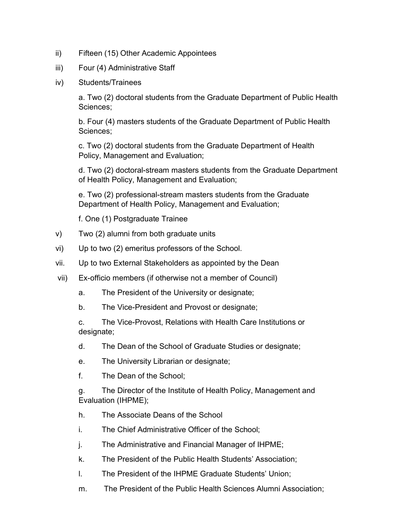- ii) Fifteen (15) Other Academic Appointees
- iii) Four (4) Administrative Staff
- iv) Students/Trainees

a. Two (2) doctoral students from the Graduate Department of Public Health Sciences;

b. Four (4) masters students of the Graduate Department of Public Health Sciences;

c. Two (2) doctoral students from the Graduate Department of Health Policy, Management and Evaluation;

d. Two (2) doctoral-stream masters students from the Graduate Department of Health Policy, Management and Evaluation;

e. Two (2) professional-stream masters students from the Graduate Department of Health Policy, Management and Evaluation;

f. One (1) Postgraduate Trainee

- v) Two (2) alumni from both graduate units
- vi) Up to two (2) emeritus professors of the School.
- vii. Up to two External Stakeholders as appointed by the Dean
- vii) Ex-officio members (if otherwise not a member of Council)
	- a. The President of the University or designate;
	- b. The Vice-President and Provost or designate;

c. The Vice-Provost, Relations with Health Care Institutions or designate;

- d. The Dean of the School of Graduate Studies or designate;
- e. The University Librarian or designate;
- f. The Dean of the School;

g. The Director of the Institute of Health Policy, Management and Evaluation (IHPME);

- h. The Associate Deans of the School
- i. The Chief Administrative Officer of the School;
- j. The Administrative and Financial Manager of IHPME;
- k. The President of the Public Health Students' Association;
- l. The President of the IHPME Graduate Students' Union;
- m. The President of the Public Health Sciences Alumni Association;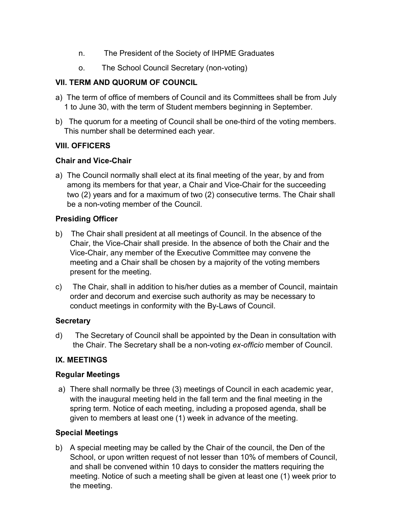- n. The President of the Society of IHPME Graduates
- o. The School Council Secretary (non-voting)

## **VII. TERM AND QUORUM OF COUNCIL**

- a) The term of office of members of Council and its Committees shall be from July 1 to June 30, with the term of Student members beginning in September.
- b) The quorum for a meeting of Council shall be one-third of the voting members. This number shall be determined each year.

## **VIII. OFFICERS**

### **Chair and Vice-Chair**

a) The Council normally shall elect at its final meeting of the year, by and from among its members for that year, a Chair and Vice-Chair for the succeeding two (2) years and for a maximum of two (2) consecutive terms. The Chair shall be a non-voting member of the Council.

### **Presiding Officer**

- b) The Chair shall president at all meetings of Council. In the absence of the Chair, the Vice-Chair shall preside. In the absence of both the Chair and the Vice-Chair, any member of the Executive Committee may convene the meeting and a Chair shall be chosen by a majority of the voting members present for the meeting.
- c) The Chair, shall in addition to his/her duties as a member of Council, maintain order and decorum and exercise such authority as may be necessary to conduct meetings in conformity with the By-Laws of Council.

### **Secretary**

d) The Secretary of Council shall be appointed by the Dean in consultation with the Chair. The Secretary shall be a non-voting *ex-officio* member of Council.

## **IX. MEETINGS**

### **Regular Meetings**

a) There shall normally be three (3) meetings of Council in each academic year, with the inaugural meeting held in the fall term and the final meeting in the spring term. Notice of each meeting, including a proposed agenda, shall be given to members at least one (1) week in advance of the meeting.

## **Special Meetings**

b) A special meeting may be called by the Chair of the council, the Den of the School, or upon written request of not lesser than 10% of members of Council, and shall be convened within 10 days to consider the matters requiring the meeting. Notice of such a meeting shall be given at least one (1) week prior to the meeting.